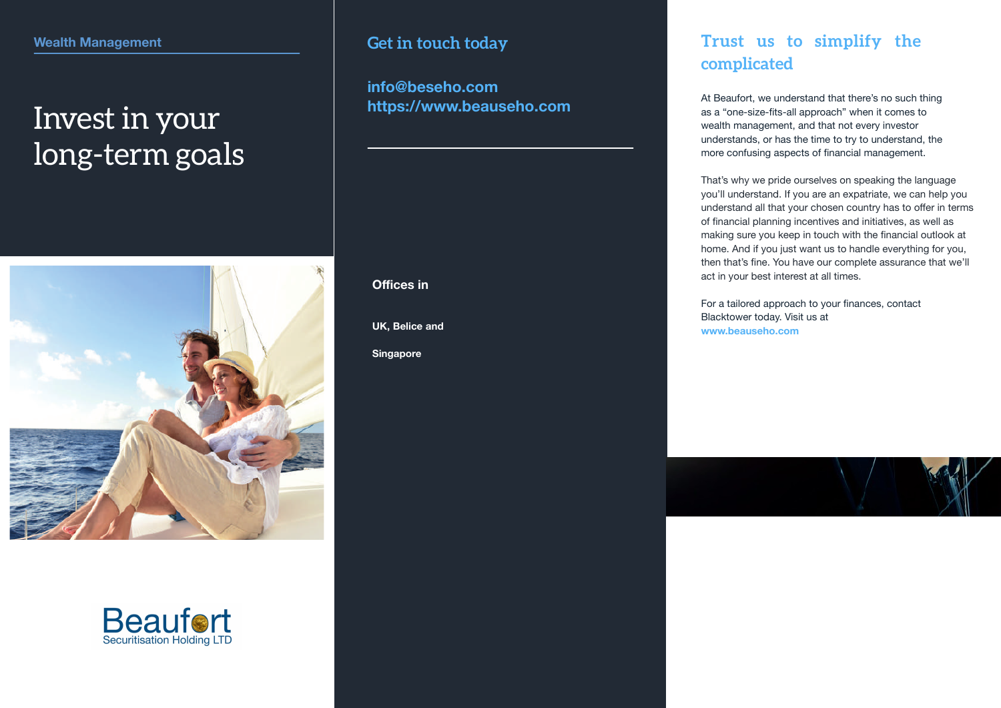# Invest in your long-term goals





### **Get in touch today**

**info@beseho.com https://www.beauseho.com**

**UK, Belice and Offices in<br>UK, Belice a<br>Singapore** 

### **Trust us to simplify the complicated**

At Beaufort , we understand that there's no such thing as a "one-size-fits-all approach" when it comes to wealth management, and that not every investor understands, or has the time to try to understand, the more confusing aspects of financial management.

That's why we pride ourselves on speaking the language you'll understand. If you are an expatriate, we can help you understand all that your chosen country has to offer in terms of financial planning incentives and initiatives, as well as making sure you keep in touch with the financial outlook at home. And if you just want us to handle everything for you, then that's fine. You have our complete assurance that we'll act in your best interest at all times.

For a tailored approach to your finances, contact Blacktower today. Visit us at **www.beauseho.com**